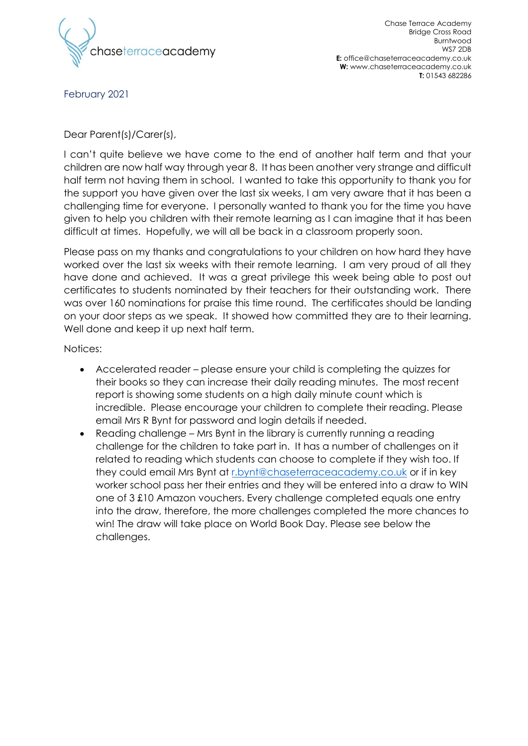

February 2021

## Dear Parent(s)/Carer(s),

I can't quite believe we have come to the end of another half term and that your children are now half way through year 8. It has been another very strange and difficult half term not having them in school. I wanted to take this opportunity to thank you for the support you have given over the last six weeks, I am very aware that it has been a challenging time for everyone. I personally wanted to thank you for the time you have given to help you children with their remote learning as I can imagine that it has been difficult at times. Hopefully, we will all be back in a classroom properly soon.

Please pass on my thanks and congratulations to your children on how hard they have worked over the last six weeks with their remote learning. I am very proud of all they have done and achieved. It was a great privilege this week being able to post out certificates to students nominated by their teachers for their outstanding work. There was over 160 nominations for praise this time round. The certificates should be landing on your door steps as we speak. It showed how committed they are to their learning. Well done and keep it up next half term.

Notices:

- Accelerated reader please ensure your child is completing the quizzes for their books so they can increase their daily reading minutes. The most recent report is showing some students on a high daily minute count which is incredible. Please encourage your children to complete their reading. Please email Mrs R Bynt for password and login details if needed.
- Reading challenge Mrs Bynt in the library is currently running a reading challenge for the children to take part in. It has a number of challenges on it related to reading which students can choose to complete if they wish too. If they could email Mrs Bynt at [r.bynt@chaseterraceacademy.co.uk](mailto:r.bynt@chaseterraceacademy.co.uk) or if in key worker school pass her their entries and they will be entered into a draw to WIN one of 3 £10 Amazon vouchers. Every challenge completed equals one entry into the draw, therefore, the more challenges completed the more chances to win! The draw will take place on World Book Day. Please see below the challenges.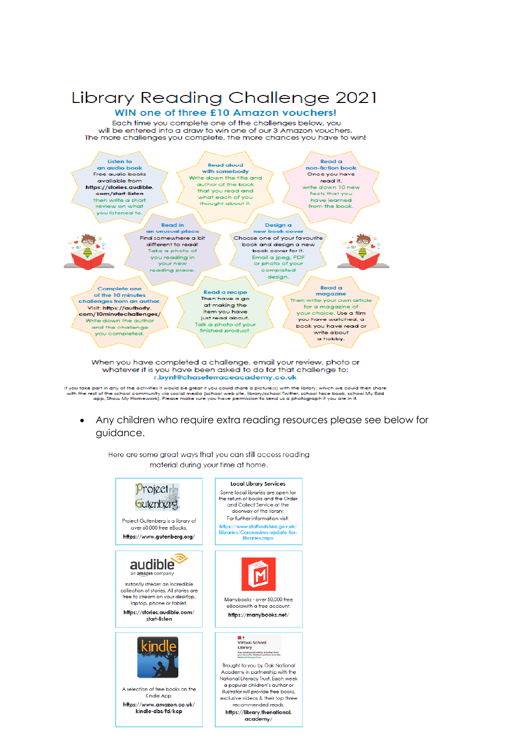## Library Reading Challenge 2021

## WIN one of three £10 Amazon vouchers!

Each time you complete one of the challenges below, you will be entered into a draw to win one of our 3 Amazon vouchers.<br>The more challenges you complete, the more chances you have to win!



whatever it is you have been asked to do for that challenge to: r.bynt@chaseterraceacademy.co.uk

If you take part in any of the activities it would be great if you could share a picture(s) with the Ebrary, which we could then share<br>with the rest of the school community via social media (school web site, Ebrary/school

Any children who require extra reading resources please see below for quidance.

Here are some great ways that you can still access reading material during your time at home.